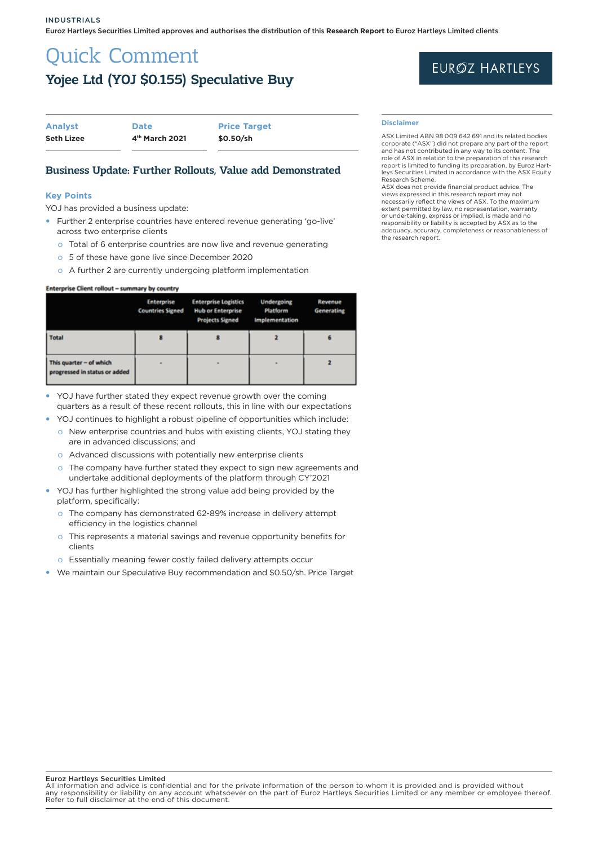# Quick Comment Yojee Ltd (YOJ \$0.155) Speculative Buy

| <b>Analyst</b>    | <b>Date</b>                | <b>Price Target</b> |
|-------------------|----------------------------|---------------------|
| <b>Seth Lizee</b> | 4 <sup>th</sup> March 2021 | \$0.50/sh           |

### Business Update: Further Rollouts, Value add Demonstrated

### **Key Points**

YOJ has provided a business update:

- Further 2 enterprise countries have entered revenue generating 'go-live' across two enterprise clients
	- o Total of 6 enterprise countries are now live and revenue generating
	- o 5 of these have gone live since December 2020
	- o A further 2 are currently undergoing platform implementation

### Enterprise Client rollout - summary by country

are in advanced discussions; and

|                                                          | <b>Enterprise</b><br><b>Countries Signed</b> | <b>Enterprise Logistics</b><br><b>Hub or Enterprise</b><br><b>Projects Signed</b> | <b>Undergoing</b><br>Platform<br><b>Implementation</b> | Revenue<br>Generating |
|----------------------------------------------------------|----------------------------------------------|-----------------------------------------------------------------------------------|--------------------------------------------------------|-----------------------|
| Total                                                    |                                              |                                                                                   |                                                        |                       |
| This quarter - of which<br>progressed in status or added |                                              |                                                                                   |                                                        |                       |

- YOJ have further stated they expect revenue growth over the coming quarters as a result of these recent rollouts, this in line with our expectations
- y YOJ continues to highlight a robust pipeline of opportunities which include: o New enterprise countries and hubs with existing clients, YOJ stating they
	- o Advanced discussions with potentially new enterprise clients
	- o The company have further stated they expect to sign new agreements and undertake additional deployments of the platform through CY'2021
- y YOJ has further highlighted the strong value add being provided by the platform, specifically:
	- o The company has demonstrated 62-89% increase in delivery attempt efficiency in the logistics channel
	- o This represents a material savings and revenue opportunity benefits for clients
	- o Essentially meaning fewer costly failed delivery attempts occur
- We maintain our Speculative Buy recommendation and \$0.50/sh. Price Target

### **Disclaimer**

ASX Limited ABN 98 009 642 691 and its related bodies corporate ("ASX") did not prepare any part of the report and has not contributed in any way to its content. The role of ASX in relation to the preparation of this research report is limited to funding its preparation, by Euroz Hartleys Securities Limited in accordance with the ASX Equity Research Scheme.

ASX does not provide financial product advice. The views expressed in this research report may not necessarily reflect the views of ASX. To the maximum extent permitted by law, no representation, warranty or undertaking, express or implied, is made and no responsibility or liability is accepted by ASX as to the adequacy, accuracy, completeness or reasonableness of the research report.

Euroz Hartleys Securities Limited

All information and advice is confidential and for the private information of the person to whom it is provided and is provided without<br>any responsibility or liability on any account whatsoever on the part of Euroz Hartley

## EURØZ HARTLEYS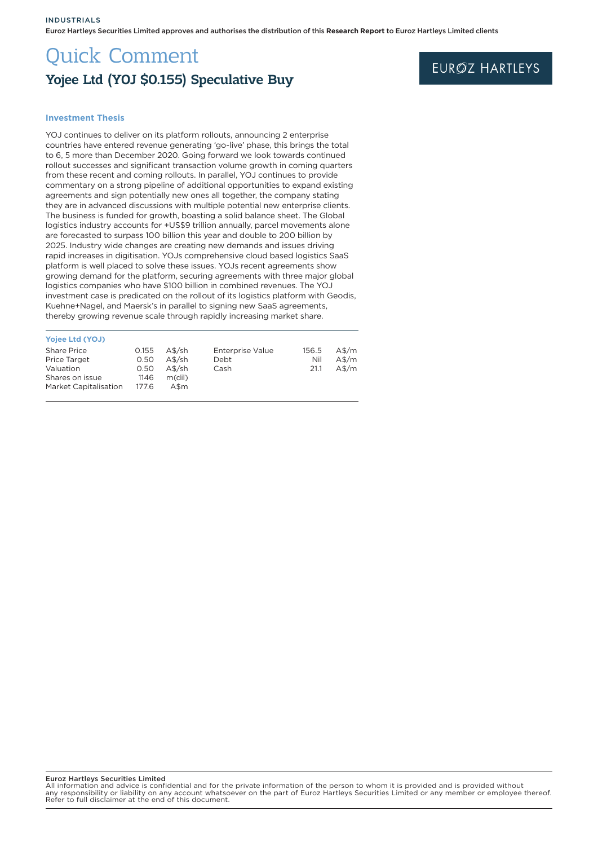Euroz Hartleys Securities Limited approves and authorises the distribution of this **Research Report** to Euroz Hartleys Limited clients

# Quick Comment Yojee Ltd (YOJ \$0.155) Speculative Buy

### EURØZ HARTLEYS

### **Investment Thesis**

YOJ continues to deliver on its platform rollouts, announcing 2 enterprise countries have entered revenue generating 'go-live' phase, this brings the total to 6, 5 more than December 2020. Going forward we look towards continued rollout successes and significant transaction volume growth in coming quarters from these recent and coming rollouts. In parallel, YOJ continues to provide commentary on a strong pipeline of additional opportunities to expand existing agreements and sign potentially new ones all together, the company stating they are in advanced discussions with multiple potential new enterprise clients. The business is funded for growth, boasting a solid balance sheet. The Global logistics industry accounts for +US\$9 trillion annually, parcel movements alone are forecasted to surpass 100 billion this year and double to 200 billion by 2025. Industry wide changes are creating new demands and issues driving rapid increases in digitisation. YOJs comprehensive cloud based logistics SaaS platform is well placed to solve these issues. YOJs recent agreements show growing demand for the platform, securing agreements with three major global logistics companies who have \$100 billion in combined revenues. The YOJ investment case is predicated on the rollout of its logistics platform with Geodis, Kuehne+Nagel, and Maersk's in parallel to signing new SaaS agreements, thereby growing revenue scale through rapidly increasing market share.

### **Yojee Ltd (YOJ)**

| <b>Share Price</b><br><b>Price Target</b><br>Valuation<br>Shares on issue | 0.155<br>0.50<br>0.50<br>1146 | A\$/sh<br>A\$/sh<br>A\$/sh<br>m(dil) | <b>Enterprise Value</b><br>Debt<br>Cash | 156.5<br>Nil<br>21.1 | $A\$\mathrm{/m}$<br>$\lambda$ \$/m<br>$A\frac{m}{2}$ |
|---------------------------------------------------------------------------|-------------------------------|--------------------------------------|-----------------------------------------|----------------------|------------------------------------------------------|
| <b>Market Capitalisation</b>                                              | 177.6                         | A\$m                                 |                                         |                      |                                                      |

Euroz Hartleys Securities Limited

All information and advice is confidential and for the private information of the person to whom it is provided and is provided without<br>any responsibility or liability on any account whatsoever on the part of Euroz Hartley